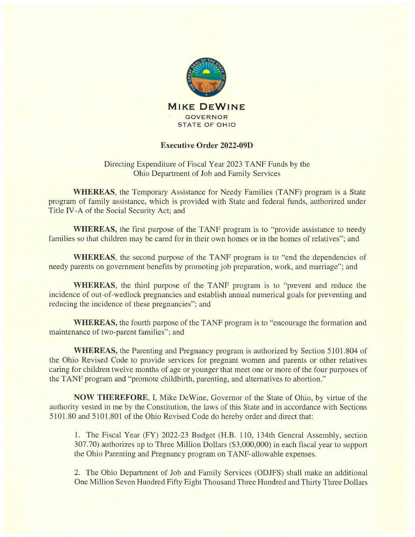

## Executive Order 2022-09D

Directing Expenditure of Fiscal Year 2023 TANF Funds by the Ohio Department of Job and Family Services

WHEREAS, the Temporary Assistance for Needy Families (TANF) program is a State program of family assistance, which is provided with State and federal funds, authorized under Title IV-A of the Social Security Act; and

WHEREAS, the first purpose of the TANF program is to "provide assistance to needy families so that children may be cared for in their own homes or in the homes of relatives"; and

WHEREAS, the second purpose of the TANF program is to "end the dependencies of needy parents on government benefits by promoting job preparation, work, and marriage"; and

WHEREAS, the third purpose of the TANF program is to "prevent and reduce the incidence of out-of-wedlock pregnancies and establish annual numerical goals for preventing and reducing the incidence of these pregnancies"; and

WHEREAS, the fourth purpose of the TANF program is to "encourage the formation and maintenance of two-parent families"; and

WHEREAS, the Parenting and Pregnancy program is authorized by Section 5101.804 of the Ohio Revised Code to provide services for pregnant women and parents or other relatives caring for children twelve months of age or younger that meet one or more of the four purposes of the TANF program and "promote childbirth, parenting, and alternatives to abortion."

NOW THEREFORE, I, Mike DeWine, Governor of the State of Ohio, by virtue of the authority vested in me by the Constitution, the laws of this State and in accordance with Sections 5101.80 and 5101.801 of the Ohio Revised Code do hereby order and direct that:

1. The Fiscal Year (FY) 2022-23 Budget (H.B. 110, 134th General Assembly, section 307.70) authorizes up to Three Million Dollars (\$3,000,000) in each fiscal year to support the Ohio Parenting and Pregnancy program on TANF-allowable expenses.

2. The Ohio Department of Job and Family Services (ODJFS) shall make an additional One Million Seven Hundred Fifty Eight Thousand Three Hundred and Thirty Three Dollars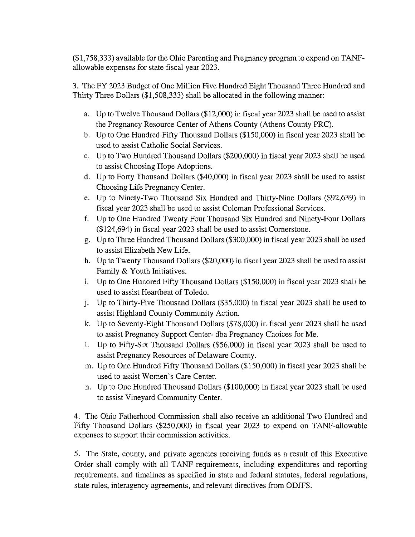(\$1,758,333) available for the Ohio Parenting and Pregnancy program to expend on TANF allowable expenses for state fiscal year 2023.

3. The FY 2023 Budget of One Million Five Hundred Eight Thousand Three Hundred and Thirty Three Dollars (\$1,508,333) shall be allocated in the following manner:

- a. Up to Twelve Thousand Dollars (\$12,000) in fiscal year 2023 shall be used to assist the Pregnancy Resource Center of Athens County (Athens County PRC).
- b. Up to One Hundred Fifty Thousand Dollars (\$150,000) in fiscal year 2023 shall be used to assist Catholic Social Services.
- c. Up to Two Hundred Thousand Dollars (\$200,000) in fiscal year 2023 shall be used to assist Choosing Hope Adoptions.
- d. Up to Forty Thousand Dollars (\$40,000) in fiscal year 2023 shall be used to assist Choosing Life Pregnancy Center.
- e. Up to Ninety-Two Thousand Six Hundred and Thirty-Nine Dollars (\$92,639) in fiscal year 2023 shall be used to assist Coleman Professional Services.
- f. Up to One Hundred Twenty Four Thousand Six Hundred and Ninety-Four Dollars (\$124,694) in fiscal year 2023 shall be used to assist Cornerstone.
- g. Up to Three Hundred Thousand Dollars (\$300,000) in fiscal year 2023 shall be used to assist Elizabeth New Life.
- h. Up to Twenty Thousand Dollars (\$20,000) in fiscal year 2023 shall be used to assist Family & Youth Initiatives.
- i. Up to One Hundred Fifty Thousand Dollars (\$150,000) in fiscal year 2023 shall be used to assist Heartbeat of Toledo.
- j. Up to Thirty-Five Thousand Dollars (\$35,000) in fiscal year 2023 shall be used to assist Highland County Community Action.
- k. Up to Seventy-Eight Thousand Dollars (\$78,000) in fiscal year 2023 shall be used to assist Pregnancy Support Center- dba Pregnancy Choices for Me.
- 1. Up to Fifty-Six Thousand Dollars (\$56,000) in fiscal year 2023 shall be used to assist Pregnancy Resources of Delaware County.
- m. Up to One Hundred Fifty Thousand Dollars (\$150,000) in fiscal year 2023 shall be used to assist Women's Care Center.
- n. Up to One Hundred Thousand Dollars (\$100,000) in fiscal year 2023 shall be used to assist Vineyard Community Center.

4. The Ohio Fatherhood Commission shall also receive an additional Two Hundred and Fifty Thousand Dollars (\$250,000) in fiscal year 2023 to expend on TANE-allowable expenses to support their commission activities.

5. The State, county, and private agencies receiving funds as <sup>a</sup> result of this Executive Order shall comply with all TANF requirements, including expenditures and reporting requirements, and timelines as specified in state and federal statutes, federal regulations, state rules, interagency agreements, and relevant directives from ODJFS.